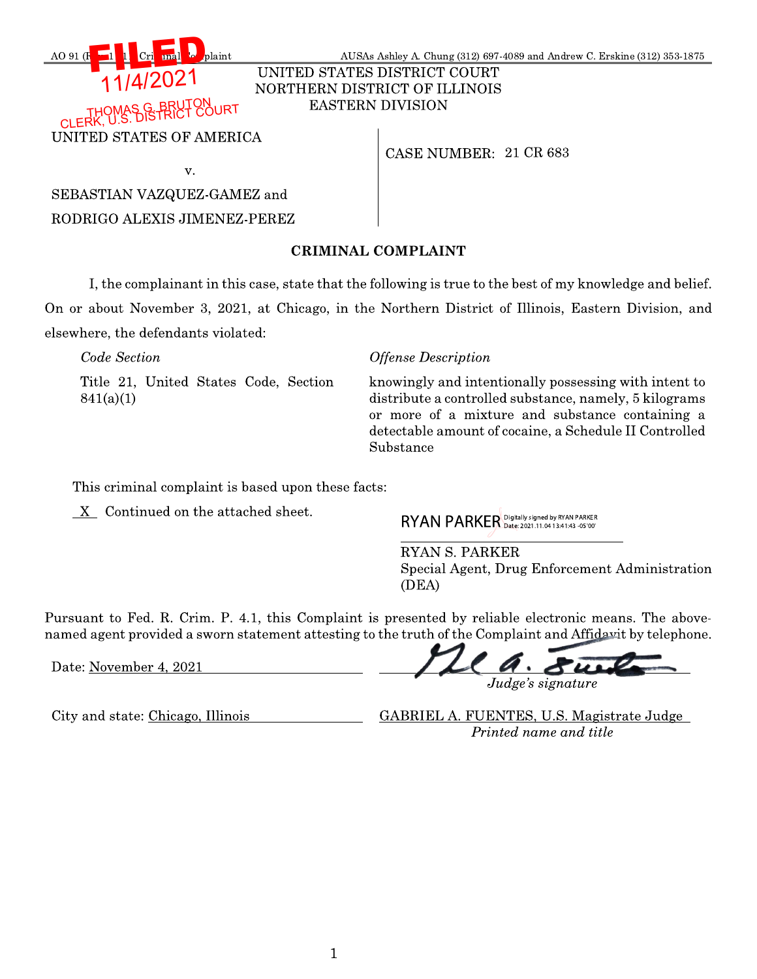

UNITED STATES DISTRICT COURT NORTHERN DISTRICT OF ILLINOIS **EASTERN DIVISION** 

**OURT** 

AO 91 (F

UNITED STATES OF AMERICA

CASE NUMBER: 21 CR 683

| × | o este de |  |
|---|-----------|--|

plaint

SEBASTIAN VAZQUEZ-GAMEZ and RODRIGO ALEXIS JIMENEZ-PEREZ

# **CRIMINAL COMPLAINT**

I, the complainant in this case, state that the following is true to the best of my knowledge and belief. On or about November 3, 2021, at Chicago, in the Northern District of Illinois, Eastern Division, and elsewhere, the defendants violated:

Code Section **Offense Description** Title 21, United States Code, Section knowingly and intentionally possessing with intent to distribute a controlled substance, namely, 5 kilograms  $841(a)(1)$ or more of a mixture and substance containing a detectable amount of cocaine, a Schedule II Controlled

Substance

This criminal complaint is based upon these facts:

X Continued on the attached sheet.

RYAN PARKER Digitally signed by RYAN PARKER

**RYAN S. PARKER** Special Agent, Drug Enforcement Administration (DEA)

Pursuant to Fed. R. Crim. P. 4.1, this Complaint is presented by reliable electronic means. The abovenamed agent provided a sworn statement attesting to the truth of the Complaint and Affidavit by telephone.

Date: November 4, 2021

 $\cdot$  84 Judge's signature

City and state: Chicago, Illinois

GABRIEL A. FUENTES, U.S. Magistrate Judge Printed name and title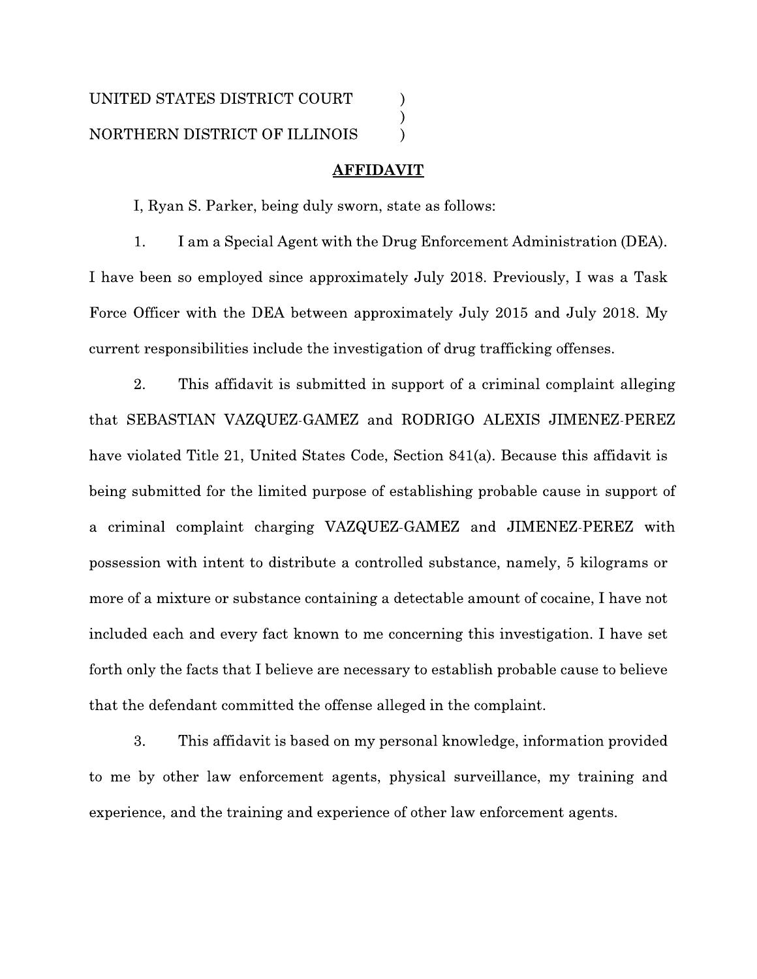### **AFFIDAVIT**

I, Ryan S. Parker, being duly sworn, state as follows:

1. I am a Special Agent with the Drug Enforcement Administration (DEA). I have been so employed since approximately July 2018. Previously, I was a Task Force Officer with the DEA between approximately July 2015 and July 2018. My current responsibilities include the investigation of drug trafficking offenses.

2. This affidavit is submitted in support of a criminal complaint alleging that SEBASTIAN VAZQUEZ-GAMEZ and RODRIGO ALEXIS JIMENEZ-PEREZ have violated Title 21, United States Code, Section 841(a). Because this affidavit is being submitted for the limited purpose of establishing probable cause in support of a criminal complaint charging VAZQUEZ-GAMEZ and JIMENEZ-PEREZ with possession with intent to distribute a controlled substance, namely, 5 kilograms or more of a mixture or substance containing a detectable amount of cocaine, I have not included each and every fact known to me concerning this investigation. I have set forth only the facts that I believe are necessary to establish probable cause to believe that the defendant committed the offense alleged in the complaint.

3. This affidavit is based on my personal knowledge, information provided to me by other law enforcement agents, physical surveillance, my training and experience, and the training and experience of other law enforcement agents.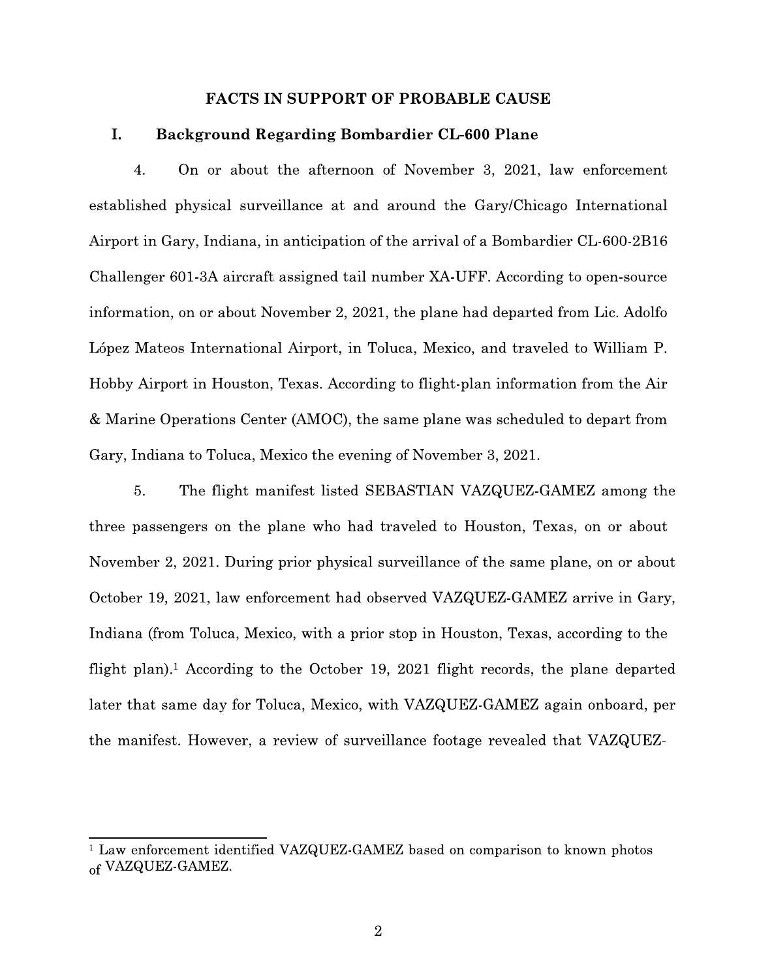### **FACTS IN SUPPORT OF PROBABLE CAUSE**

#### I. **Background Regarding Bombardier CL-600 Plane**

4. On or about the afternoon of November 3, 2021, law enforcement established physical surveillance at and around the Gary/Chicago International Airport in Gary, Indiana, in anticipation of the arrival of a Bombardier CL-600-2B16 Challenger 601-3A aircraft assigned tail number XA-UFF. According to open-source information, on or about November 2, 2021, the plane had departed from Lic. Adolfo López Mateos International Airport, in Toluca, Mexico, and traveled to William P. Hobby Airport in Houston, Texas. According to flight-plan information from the Air & Marine Operations Center (AMOC), the same plane was scheduled to depart from Gary, Indiana to Toluca, Mexico the evening of November 3, 2021.

5. The flight manifest listed SEBASTIAN VAZQUEZ-GAMEZ among the three passengers on the plane who had traveled to Houston, Texas, on or about November 2, 2021. During prior physical surveillance of the same plane, on or about October 19, 2021, law enforcement had observed VAZQUEZ-GAMEZ arrive in Gary, Indiana (from Toluca, Mexico, with a prior stop in Houston, Texas, according to the flight plan).<sup>1</sup> According to the October 19, 2021 flight records, the plane departed later that same day for Toluca, Mexico, with VAZQUEZ-GAMEZ again onboard, per the manifest. However, a review of surveillance footage revealed that VAZQUEZ-

<sup>&</sup>lt;sup>1</sup> Law enforcement identified VAZQUEZ-GAMEZ based on comparison to known photos of VAZQUEZ-GAMEZ.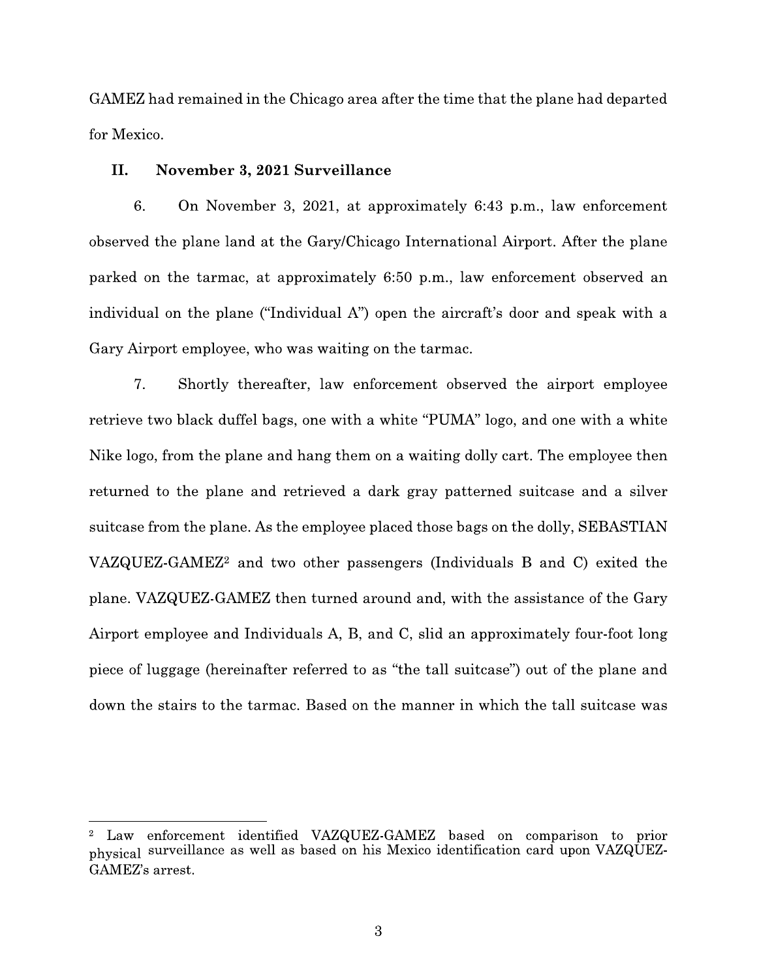GAMEZ had remained in the Chicago area after the time that the plane had departed for Mexico.

#### II. November 3, 2021 Surveillance

6. On November 3, 2021, at approximately 6:43 p.m., law enforcement observed the plane land at the Gary/Chicago International Airport. After the plane parked on the tarmac, at approximately 6:50 p.m., law enforcement observed an individual on the plane ("Individual A") open the aircraft's door and speak with a Gary Airport employee, who was waiting on the tarmac.

7. Shortly thereafter, law enforcement observed the airport employee retrieve two black duffel bags, one with a white "PUMA" logo, and one with a white Nike logo, from the plane and hang them on a waiting dolly cart. The employee then returned to the plane and retrieved a dark gray patterned suitcase and a silver suitcase from the plane. As the employee placed those bags on the dolly, SEBASTIAN VAZQUEZ-GAMEZ<sup>2</sup> and two other passengers (Individuals B and C) exited the plane. VAZQUEZ-GAMEZ then turned around and, with the assistance of the Gary Airport employee and Individuals A, B, and C, slid an approximately four-foot long piece of luggage (hereinafter referred to as "the tall suitcase") out of the plane and down the stairs to the tarmac. Based on the manner in which the tall suitcase was

Law enforcement identified VAZQUEZ-GAMEZ based on comparison to prior physical surveillance as well as based on his Mexico identification card upon VAZQUEZ-GAMEZ's arrest.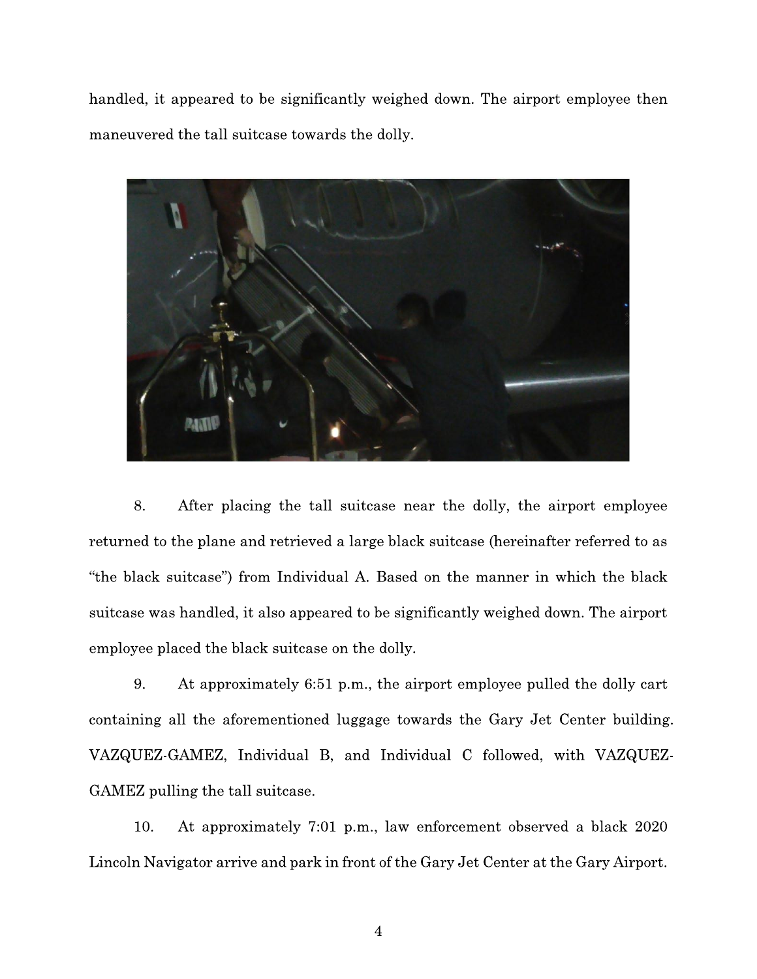handled, it appeared to be significantly weighed down. The airport employee then maneuvered the tall suitcase towards the dolly.



8. After placing the tall suit case near the dolly, the airport employee returned to the plane and retrieved a large black suitcase (hereinafter referred to as "the black suitcase") from Individual A. Based on the manner in which the black suit case was handled, it also appeared to be significantly weighed down. The airport employee placed the black suitcase on the dolly.

9. At approximately 6:51 p.m., the airport employee pulled the dolly cart containing all the aforementioned luggage towards the Gary Jet Center building. VAZQUEZ-GAMEZ, Individual B, and Individual C followed, with VAZQUEZ-GAMEZ pulling the tall suitcase.

10. At approximately 7:01 p.m., law enforcement observed a black 2020 Lincoln Navigator arrive and park in front of the Gary Jet Center at the Gary Airport.

 $\overline{4}$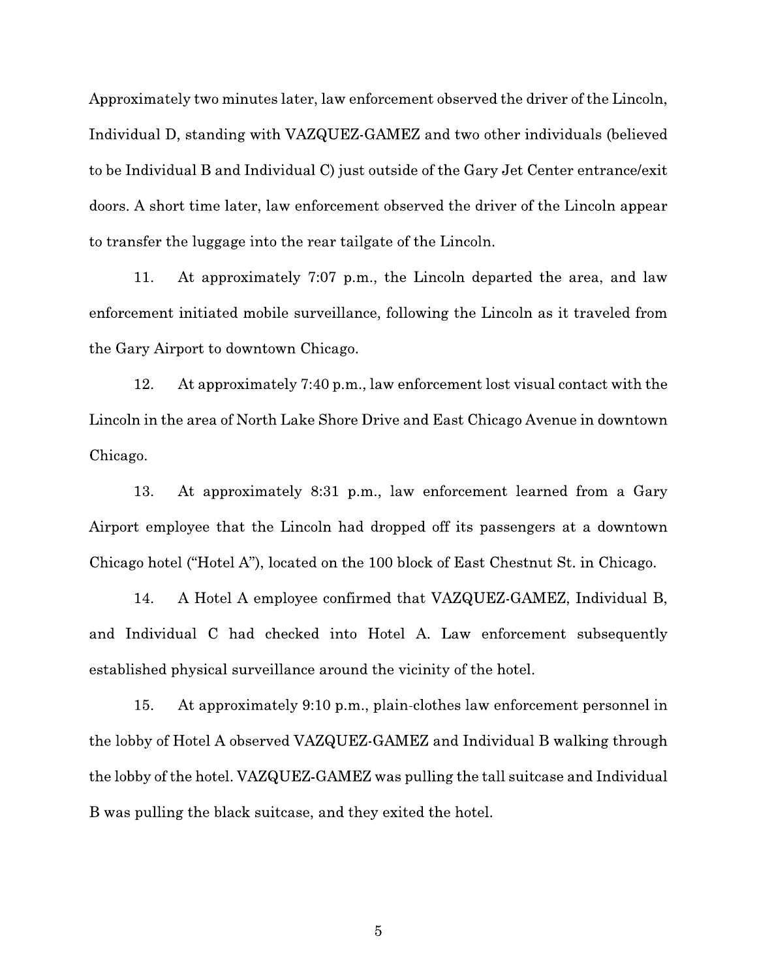Approximately two minutes later, law enforcement observed the driver of the Lincoln, Individual D, standing with VAZQUEZ-GAMEZ and two other individuals (believed to be Individual B and Individual C) just outside of the Gary Jet Center entrance/exit doors. A short time later, law enforcement observed the driver of the Lincoln appear to transfer the luggage into the rear tailgate of the Lincoln.

11. At approximately 7:07 p.m., the Lincoln departed the area, and law enforcement initiated mobile surveillance, following the Lincoln as it traveled from the Gary Airport to downtown Chicago.

12. At approximately 7:40 p.m., law enforcement lost visual contact with the Lincoln in the area of North Lake Shore Drive and East Chicago Avenue in downtown Chicago.

13. At approximately 8:31 p.m., law enforcement learned from a Gary Airport employee that the Lincoln had dropped off its passengers at a downtown Chicago hotel ("Hotel A"), located on the 100 block of East Chestnut St. in Chicago.

14. A Hotel A employee confirmed that VAZQUEZ-GAMEZ, Individual B, and Individual C had checked into Hotel A. Law enforcement subsequently established physical surveillance around the vicinity of the hotel.

At approximately 9:10 p.m., plain-clothes law enforcement personnel in 15. the lobby of Hotel A observed VAZQUEZ-GAMEZ and Individual B walking through the lobby of the hotel. VAZQUEZ-GAMEZ was pulling the tall suitcase and Individual B was pulling the black suitcase, and they exited the hotel.

 $\mathbf 5$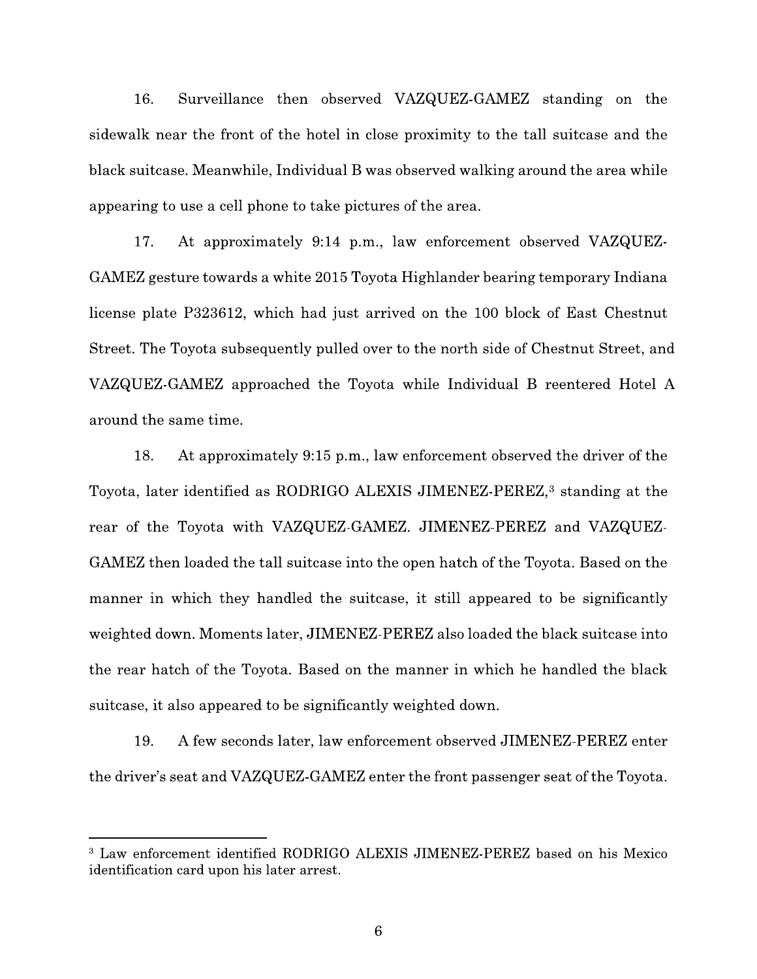16. Surveillance then observed VAZQUEZ-GAMEZ standing on the sidewalk near the front of the hotel in close proximity to the tall suitcase and the black suitcase. Meanwhile, Individual B was observed walking around the area while appearing to use a cell phone to take pictures of the area.

At approximately 9:14 p.m., law enforcement observed VAZQUEZ-17. GAMEZ gesture towards a white 2015 Toyota Highlander bearing temporary Indiana license plate P323612, which had just arrived on the 100 block of East Chestnut Street. The Toyota subsequently pulled over to the north side of Chestnut Street, and VAZQUEZ-GAMEZ approached the Toyota while Individual B reentered Hotel A around the same time.

18. At approximately 9:15 p.m., law enforcement observed the driver of the Toyota, later identified as RODRIGO ALEXIS JIMENEZ-PEREZ,<sup>3</sup> standing at the rear of the Toyota with VAZQUEZ-GAMEZ. JIMENEZ-PEREZ and VAZQUEZ-GAMEZ then loaded the tall suitcase into the open hatch of the Toyota. Based on the manner in which they handled the suitcase, it still appeared to be significantly weighted down. Moments later, JIMENEZ-PEREZ also loaded the black suitcase into the rear hatch of the Toyota. Based on the manner in which he handled the black suit case, it also appeared to be significantly weighted down.

19. A few seconds later, law enforcement observed JIMENEZ-PEREZ enter the driver's seat and VAZQUEZ-GAMEZ enter the front passenger seat of the Toyota.

<sup>&</sup>lt;sup>3</sup> Law enforcement identified RODRIGO ALEXIS JIMENEZ-PEREZ based on his Mexico identification card upon his later arrest.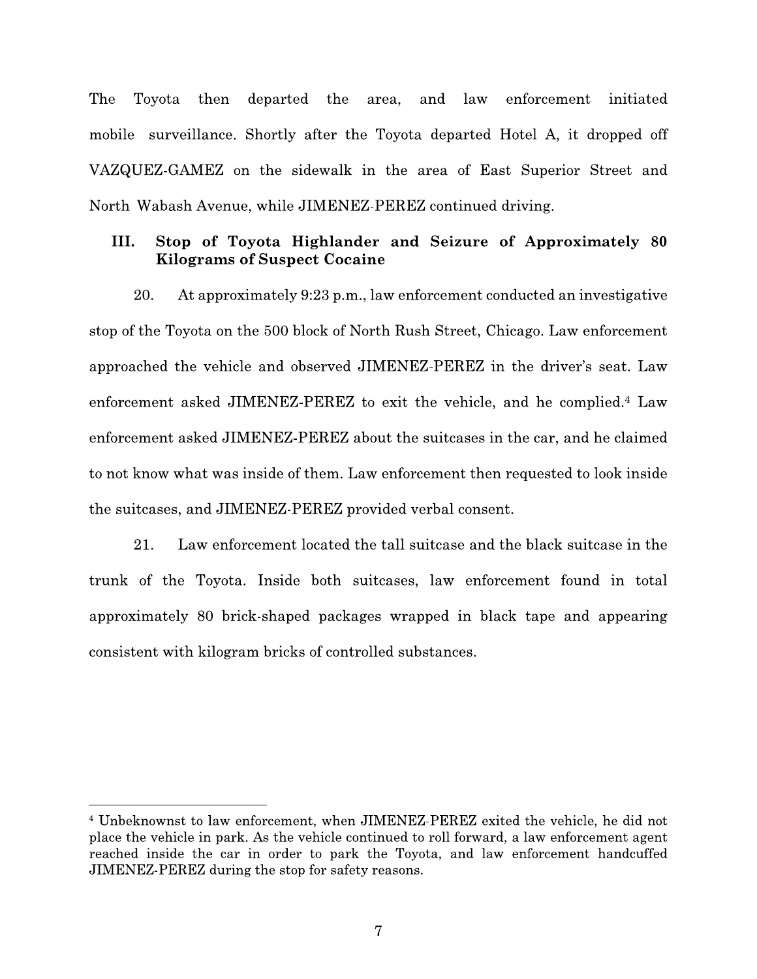The Tovota  $then$ departed the area, and law enforcement initiated mobile surveillance. Shortly after the Toyota departed Hotel A, it dropped off VAZQUEZ-GAMEZ on the sidewalk in the area of East Superior Street and North Wabash Avenue, while JIMENEZ-PEREZ continued driving.

### Stop of Toyota Highlander and Seizure of Approximately 80 III. **Kilograms of Suspect Cocaine**

20. At approximately 9:23 p.m., law enforcement conducted an investigative stop of the Toyota on the 500 block of North Rush Street, Chicago. Law enforcement approached the vehicle and observed JIMENEZ-PEREZ in the driver's seat. Law enforcement asked JIMENEZ-PEREZ to exit the vehicle, and he complied.<sup>4</sup> Law enforcement asked JIMENEZ-PEREZ about the suitcases in the car, and he claimed to not know what was inside of them. Law enforcement then requested to look inside the suitcases, and JIMENEZ-PEREZ provided verbal consent.

Law enforcement located the tall suitcase and the black suitcase in the 21. trunk of the Toyota. Inside both suitcases, law enforcement found in total approximately 80 brick-shaped packages wrapped in black tape and appearing consistent with kilogram bricks of controlled substances.

<sup>&</sup>lt;sup>4</sup> Unbeknownst to law enforcement, when JIMENEZ-PEREZ exited the vehicle, he did not place the vehicle in park. As the vehicle continued to roll forward, a law enforcement agent reached inside the car in order to park the Toyota, and law enforcement handcuffed JIMENEZ-PEREZ during the stop for safety reasons.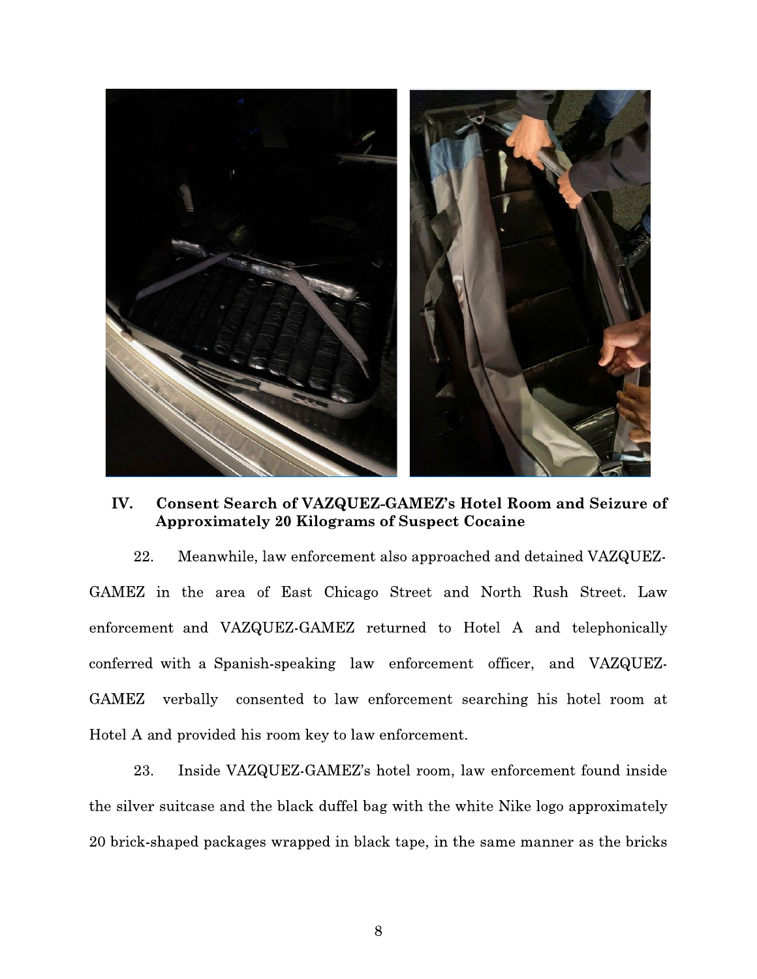

IV. Consent Search of VAZQUEZ-GAMEZ's Hotel Room and Seizure of Approximately 20 Kilograms of Suspect Cocaine

IV. Consent Search of VAZQUEZ-GA<br>Approximately 20 Kilograms of S<br>22. Meanwhile, law enforcement also<br>MEZ in the area of East Chicago Str<br>preement and VAZQUEZ-GAMEZ return<br>ferred with a Spanish-speaking law enf 22. Meanwhile, law enforcement also approached and detained VAZQUEZ-GAMEZ in the area of East Chicago Street and North Rush Street. Law enforcement and VAZQUEZ-GAMEZ returned to Hotel A and telephonically conterred with a Spanish-speaking law enforcement officer, and VAZQUEZ-GAMEZ verbally consented to law enforcement searching his hotel room at Hotel A and provided his room key to law enforcement.

23. Inside VAZQUEZ-GAMEZ's hotel room, law enforcement found inside the silver suitcase and the black duffel bag with the white Nike logo approximately 20 brick-shaped packages wrapped in black tape, in the same manner as the bricks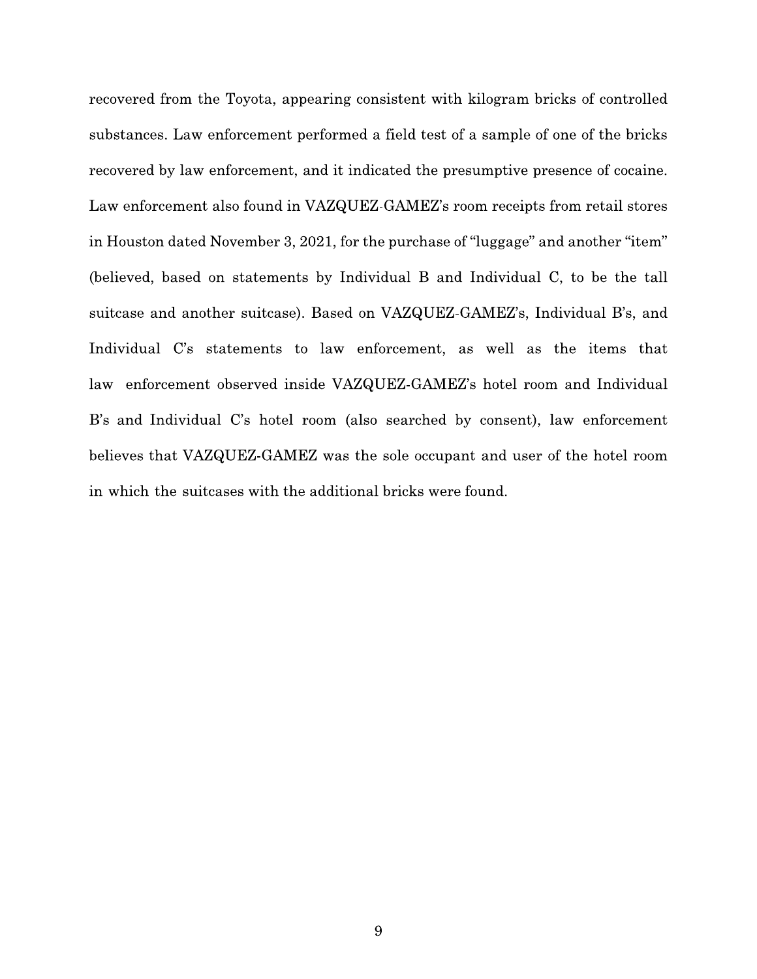recovered from the Toyota, appearing consistent with kilogram bricks of controlled substances. Law enforcement performed a field test of a sample of one of the bricks recovered by law enforcement, and it indicated the presumptive presence of cocaine. Law enforcement also found in VAZQUEZ-GAMEZ's room receipts from retail stores in Houston dated November 3, 2021, for the purchase of "luggage" and another "item" (believed, based on statements by Individual B and Individual C, to be the tall suitcase and another suitcase). Based on VAZQUEZ-GAMEZ's, Individual B's, and Individual C's statements to law enforcement, as well as the items that law enforcement observed inside VAZQUEZ-GAMEZ's hotel room and Individual B's and Individual C's hotel room (also searched by consent), law enforcement believes that VAZQUEZ-GAMEZ was the sole occupant and user of the hotel room in which the suitcases with the additional bricks were found.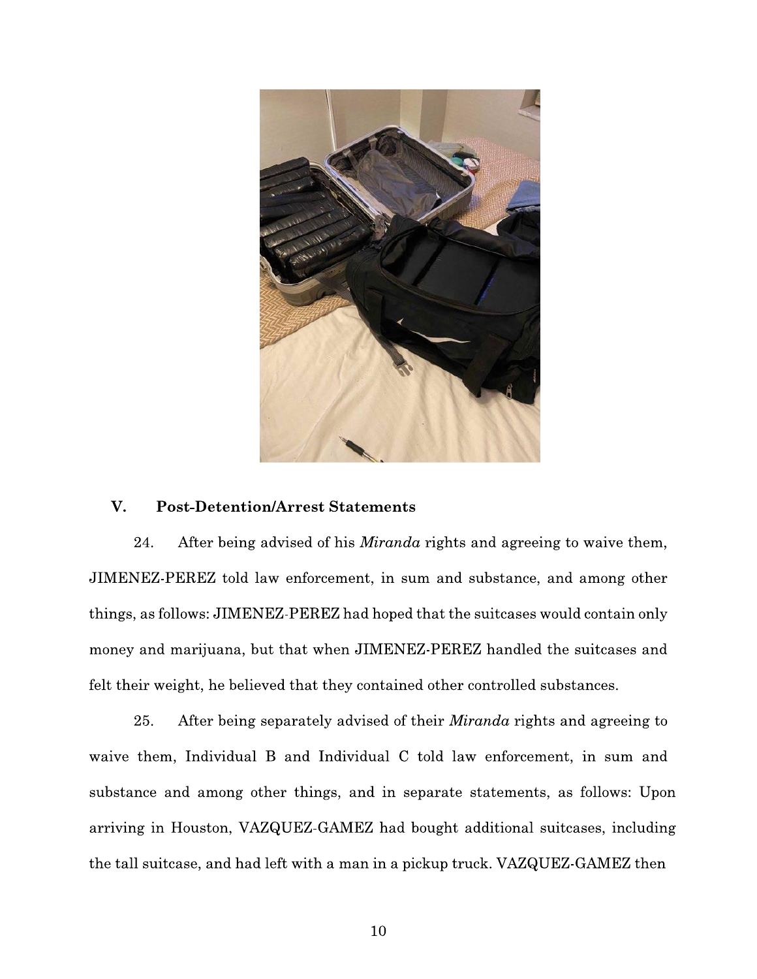

#### V. **Post-Detention/Arrest Statements**

24. After being advised of his *Miranda* rights and agreeing to waive them, JIMENEZ-PEREZ told law enforcement, in sum and substance, and among other things, as follows: JIMENEZ-PEREZ had hoped that the suitcases would contain only money and marijuana, but that when JIMENEZ-PEREZ handled the suitcases and felt their weight, he believed that they contained other controlled substances.

25. After being separately advised of their *Miranda* rights and agreeing to waive them, Individual B and Individual C told law enforcement, in sum and substance and among other things, and in separate statements, as follows: Upon arriving in Houston, VAZQUEZ-GAMEZ had bought additional suitcases, including the tall suitcase, and had left with a man in a pickup truck. VAZQUEZ-GAMEZ then